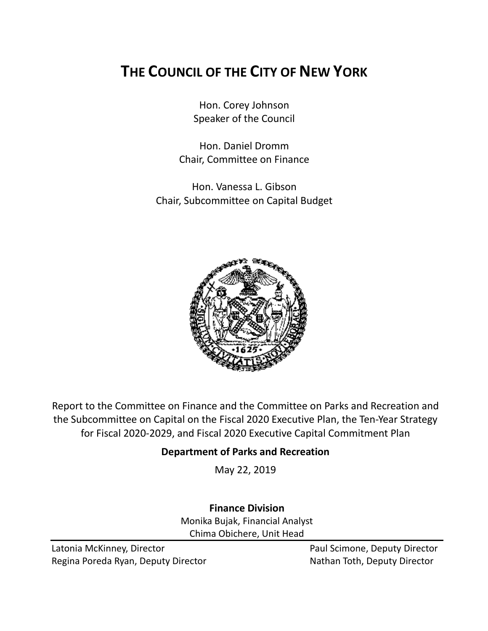# **THE COUNCIL OF THE CITY OF NEW YORK**

Hon. Corey Johnson Speaker of the Council

Hon. Daniel Dromm Chair, Committee on Finance

Hon. Vanessa L. Gibson Chair, Subcommittee on Capital Budget



Report to the Committee on Finance and the Committee on Parks and Recreation and the Subcommittee on Capital on the Fiscal 2020 Executive Plan, the Ten-Year Strategy for Fiscal 2020-2029, and Fiscal 2020 Executive Capital Commitment Plan

## **Department of Parks and Recreation**

May 22, 2019

**Finance Division** Monika Bujak, Financial Analyst Chima Obichere, Unit Head

Latonia McKinney, Director **Paul Scimone, Deputy Director** Paul Scimone, Deputy Director Regina Poreda Ryan, Deputy Director Nathan Toth, Deputy Director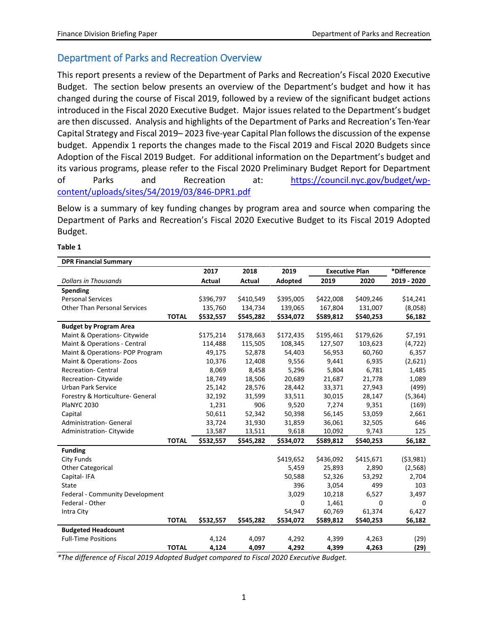### Department of Parks and Recreation Overview

This report presents a review of the Department of Parks and Recreation's Fiscal 2020 Executive Budget. The section below presents an overview of the Department's budget and how it has changed during the course of Fiscal 2019, followed by a review of the significant budget actions introduced in the Fiscal 2020 Executive Budget. Major issues related to the Department's budget are then discussed. Analysis and highlights of the Department of Parks and Recreation's Ten-Year Capital Strategy and Fiscal 2019– 2023 five-year Capital Plan follows the discussion of the expense budget. Appendix 1 reports the changes made to the Fiscal 2019 and Fiscal 2020 Budgets since Adoption of the Fiscal 2019 Budget. For additional information on the Department's budget and its various programs, please refer to the Fiscal 2020 Preliminary Budget Report for Department of Parks and Recreation at: [https://council.nyc.gov/budget/wp](https://council.nyc.gov/budget/wp-content/uploads/sites/54/2019/03/846-DPR1.pdf)[content/uploads/sites/54/2019/03/846-DPR1.pdf](https://council.nyc.gov/budget/wp-content/uploads/sites/54/2019/03/846-DPR1.pdf)

Below is a summary of key funding changes by program area and source when comparing the Department of Parks and Recreation's Fiscal 2020 Executive Budget to its Fiscal 2019 Adopted Budget.

| <b>DPR Financial Summary</b>        |              |           |           |           |                       |           |             |
|-------------------------------------|--------------|-----------|-----------|-----------|-----------------------|-----------|-------------|
|                                     |              | 2017      | 2018      | 2019      | <b>Executive Plan</b> |           | *Difference |
| <b>Dollars in Thousands</b>         |              | Actual    | Actual    | Adopted   | 2019                  | 2020      | 2019 - 2020 |
| Spending                            |              |           |           |           |                       |           |             |
| <b>Personal Services</b>            |              | \$396,797 | \$410,549 | \$395,005 | \$422,008             | \$409,246 | \$14,241    |
| <b>Other Than Personal Services</b> |              | 135,760   | 134,734   | 139,065   | 167,804               | 131,007   | (8,058)     |
|                                     | <b>TOTAL</b> | \$532,557 | \$545,282 | \$534,072 | \$589,812             | \$540,253 | \$6,182     |
| <b>Budget by Program Area</b>       |              |           |           |           |                       |           |             |
| Maint & Operations- Citywide        |              | \$175,214 | \$178,663 | \$172,435 | \$195,461             | \$179,626 | \$7,191     |
| Maint & Operations - Central        |              | 114,488   | 115,505   | 108,345   | 127,507               | 103,623   | (4, 722)    |
| Maint & Operations- POP Program     |              | 49,175    | 52,878    | 54,403    | 56,953                | 60,760    | 6,357       |
| Maint & Operations-Zoos             |              | 10,376    | 12,408    | 9,556     | 9,441                 | 6,935     | (2,621)     |
| <b>Recreation- Central</b>          |              | 8,069     | 8,458     | 5,296     | 5,804                 | 6,781     | 1,485       |
| Recreation-Citywide                 |              | 18,749    | 18,506    | 20,689    | 21,687                | 21,778    | 1,089       |
| <b>Urban Park Service</b>           |              | 25,142    | 28,576    | 28,442    | 33,371                | 27,943    | (499)       |
| Forestry & Horticulture- General    |              | 32,192    | 31,599    | 33,511    | 30,015                | 28,147    | (5, 364)    |
| <b>PlaNYC 2030</b>                  |              | 1,231     | 906       | 9,520     | 7,274                 | 9,351     | (169)       |
| Capital                             |              | 50,611    | 52,342    | 50,398    | 56,145                | 53,059    | 2,661       |
| <b>Administration- General</b>      |              | 33,724    | 31,930    | 31,859    | 36,061                | 32,505    | 646         |
| Administration-Citywide             |              | 13,587    | 13,511    | 9,618     | 10,092                | 9,743     | 125         |
|                                     | <b>TOTAL</b> | \$532,557 | \$545,282 | \$534,072 | \$589,812             | \$540,253 | \$6,182     |
| <b>Funding</b>                      |              |           |           |           |                       |           |             |
| <b>City Funds</b>                   |              |           |           | \$419,652 | \$436,092             | \$415,671 | ( \$3,981)  |
| <b>Other Categorical</b>            |              |           |           | 5,459     | 25,893                | 2,890     | (2, 568)    |
| Capital-IFA                         |              |           |           | 50,588    | 52,326                | 53,292    | 2,704       |
| State                               |              |           |           | 396       | 3,054                 | 499       | 103         |
| Federal - Community Development     |              |           |           | 3,029     | 10,218                | 6,527     | 3,497       |
| Federal - Other                     |              |           |           | 0         | 1,461                 | 0         | 0           |
| Intra City                          |              |           |           | 54.947    | 60.769                | 61.374    | 6,427       |
|                                     | <b>TOTAL</b> | \$532,557 | \$545,282 | \$534,072 | \$589,812             | \$540,253 | \$6,182     |
| <b>Budgeted Headcount</b>           |              |           |           |           |                       |           |             |
| <b>Full-Time Positions</b>          |              | 4,124     | 4,097     | 4,292     | 4,399                 | 4,263     | (29)        |
|                                     | <b>TOTAL</b> | 4,124     | 4,097     | 4,292     | 4,399                 | 4,263     | (29)        |

#### **Table 1**

*\*The difference of Fiscal 2019 Adopted Budget compared to Fiscal 2020 Executive Budget.*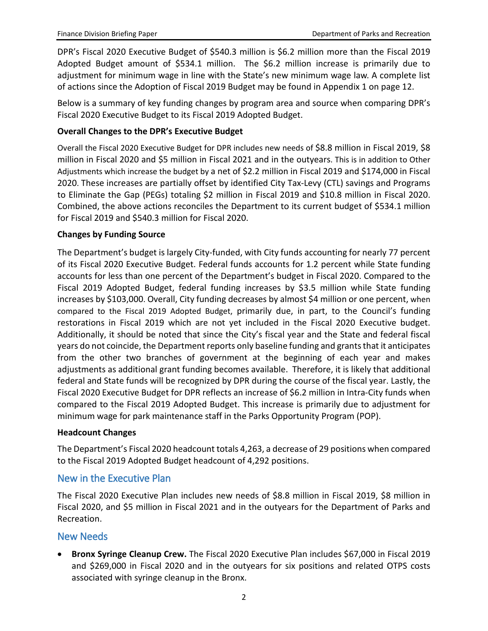DPR's Fiscal 2020 Executive Budget of \$540.3 million is \$6.2 million more than the Fiscal 2019 Adopted Budget amount of \$534.1 million. The \$6.2 million increase is primarily due to adjustment for minimum wage in line with the State's new minimum wage law. A complete list of actions since the Adoption of Fiscal 2019 Budget may be found in Appendix 1 on page 12.

Below is a summary of key funding changes by program area and source when comparing DPR's Fiscal 2020 Executive Budget to its Fiscal 2019 Adopted Budget.

#### **Overall Changes to the DPR's Executive Budget**

Overall the Fiscal 2020 Executive Budget for DPR includes new needs of \$8.8 million in Fiscal 2019, \$8 million in Fiscal 2020 and \$5 million in Fiscal 2021 and in the outyears. This is in addition to Other Adjustments which increase the budget by a net of \$2.2 million in Fiscal 2019 and \$174,000 in Fiscal 2020. These increases are partially offset by identified City Tax-Levy (CTL) savings and Programs to Eliminate the Gap (PEGs) totaling \$2 million in Fiscal 2019 and \$10.8 million in Fiscal 2020. Combined, the above actions reconciles the Department to its current budget of \$534.1 million for Fiscal 2019 and \$540.3 million for Fiscal 2020.

#### **Changes by Funding Source**

The Department's budget is largely City-funded, with City funds accounting for nearly 77 percent of its Fiscal 2020 Executive Budget. Federal funds accounts for 1.2 percent while State funding accounts for less than one percent of the Department's budget in Fiscal 2020. Compared to the Fiscal 2019 Adopted Budget, federal funding increases by \$3.5 million while State funding increases by \$103,000. Overall, City funding decreases by almost \$4 million or one percent, when compared to the Fiscal 2019 Adopted Budget, primarily due, in part, to the Council's funding restorations in Fiscal 2019 which are not yet included in the Fiscal 2020 Executive budget. Additionally, it should be noted that since the City's fiscal year and the State and federal fiscal years do not coincide, the Department reports only baseline funding and grants that it anticipates from the other two branches of government at the beginning of each year and makes adjustments as additional grant funding becomes available. Therefore, it is likely that additional federal and State funds will be recognized by DPR during the course of the fiscal year. Lastly, the Fiscal 2020 Executive Budget for DPR reflects an increase of \$6.2 million in Intra-City funds when compared to the Fiscal 2019 Adopted Budget. This increase is primarily due to adjustment for minimum wage for park maintenance staff in the Parks Opportunity Program (POP).

#### **Headcount Changes**

The Department's Fiscal 2020 headcount totals 4,263, a decrease of 29 positions when compared to the Fiscal 2019 Adopted Budget headcount of 4,292 positions.

#### New in the Executive Plan

The Fiscal 2020 Executive Plan includes new needs of \$8.8 million in Fiscal 2019, \$8 million in Fiscal 2020, and \$5 million in Fiscal 2021 and in the outyears for the Department of Parks and Recreation.

#### New Needs

• **Bronx Syringe Cleanup Crew.** The Fiscal 2020 Executive Plan includes \$67,000 in Fiscal 2019 and \$269,000 in Fiscal 2020 and in the outyears for six positions and related OTPS costs associated with syringe cleanup in the Bronx.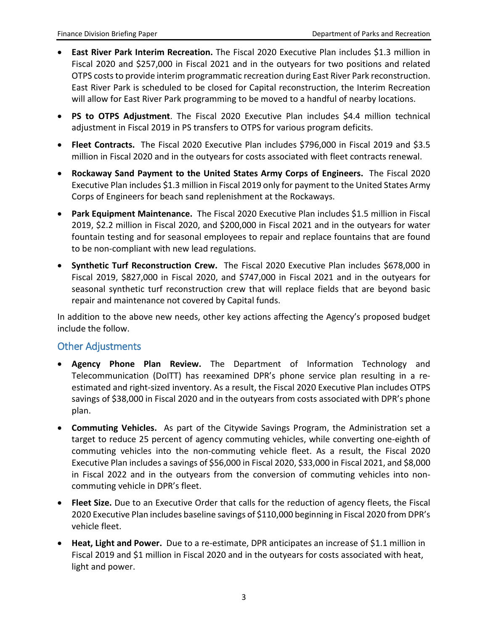- **East River Park Interim Recreation.** The Fiscal 2020 Executive Plan includes \$1.3 million in Fiscal 2020 and \$257,000 in Fiscal 2021 and in the outyears for two positions and related OTPS costs to provide interim programmatic recreation during East River Park reconstruction. East River Park is scheduled to be closed for Capital reconstruction, the Interim Recreation will allow for East River Park programming to be moved to a handful of nearby locations.
- **PS to OTPS Adjustment**. The Fiscal 2020 Executive Plan includes \$4.4 million technical adjustment in Fiscal 2019 in PS transfers to OTPS for various program deficits.
- **Fleet Contracts.** The Fiscal 2020 Executive Plan includes \$796,000 in Fiscal 2019 and \$3.5 million in Fiscal 2020 and in the outyears for costs associated with fleet contracts renewal.
- **Rockaway Sand Payment to the United States Army Corps of Engineers.** The Fiscal 2020 Executive Plan includes \$1.3 million in Fiscal 2019 only for payment to the United States Army Corps of Engineers for beach sand replenishment at the Rockaways.
- **Park Equipment Maintenance.** The Fiscal 2020 Executive Plan includes \$1.5 million in Fiscal 2019, \$2.2 million in Fiscal 2020, and \$200,000 in Fiscal 2021 and in the outyears for water fountain testing and for seasonal employees to repair and replace fountains that are found to be non-compliant with new lead regulations.
- **Synthetic Turf Reconstruction Crew.** The Fiscal 2020 Executive Plan includes \$678,000 in Fiscal 2019, \$827,000 in Fiscal 2020, and \$747,000 in Fiscal 2021 and in the outyears for seasonal synthetic turf reconstruction crew that will replace fields that are beyond basic repair and maintenance not covered by Capital funds.

In addition to the above new needs, other key actions affecting the Agency's proposed budget include the follow.

#### Other Adjustments

- **Agency Phone Plan Review.** The Department of Information Technology and Telecommunication (DoITT) has reexamined DPR's phone service plan resulting in a reestimated and right-sized inventory. As a result, the Fiscal 2020 Executive Plan includes OTPS savings of \$38,000 in Fiscal 2020 and in the outyears from costs associated with DPR's phone plan.
- **Commuting Vehicles.** As part of the Citywide Savings Program, the Administration set a target to reduce 25 percent of agency commuting vehicles, while converting one-eighth of commuting vehicles into the non-commuting vehicle fleet. As a result, the Fiscal 2020 Executive Plan includes a savings of \$56,000 in Fiscal 2020, \$33,000 in Fiscal 2021, and \$8,000 in Fiscal 2022 and in the outyears from the conversion of commuting vehicles into noncommuting vehicle in DPR's fleet.
- **Fleet Size.** Due to an Executive Order that calls for the reduction of agency fleets, the Fiscal 2020 Executive Plan includes baseline savings of \$110,000 beginning in Fiscal 2020 from DPR's vehicle fleet.
- **Heat, Light and Power.** Due to a re-estimate, DPR anticipates an increase of \$1.1 million in Fiscal 2019 and \$1 million in Fiscal 2020 and in the outyears for costs associated with heat, light and power.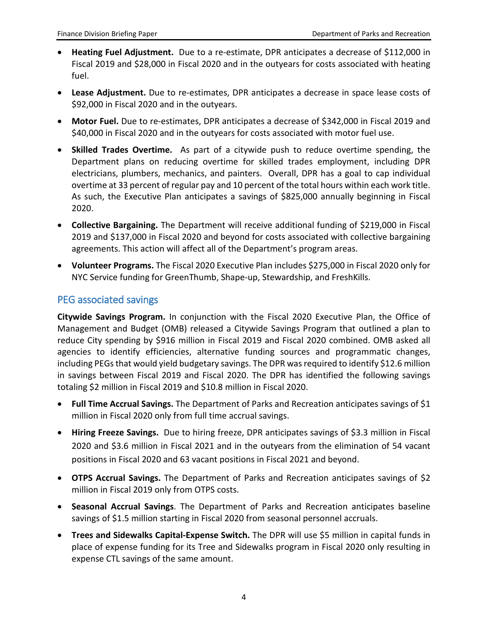- **Heating Fuel Adjustment.** Due to a re-estimate, DPR anticipates a decrease of \$112,000 in Fiscal 2019 and \$28,000 in Fiscal 2020 and in the outyears for costs associated with heating fuel.
- **Lease Adjustment.** Due to re-estimates, DPR anticipates a decrease in space lease costs of \$92,000 in Fiscal 2020 and in the outyears.
- **Motor Fuel.** Due to re-estimates, DPR anticipates a decrease of \$342,000 in Fiscal 2019 and \$40,000 in Fiscal 2020 and in the outyears for costs associated with motor fuel use.
- **Skilled Trades Overtime.** As part of a citywide push to reduce overtime spending, the Department plans on reducing overtime for skilled trades employment, including DPR electricians, plumbers, mechanics, and painters. Overall, DPR has a goal to cap individual overtime at 33 percent of regular pay and 10 percent of the total hours within each work title. As such, the Executive Plan anticipates a savings of \$825,000 annually beginning in Fiscal 2020.
- **Collective Bargaining.** The Department will receive additional funding of \$219,000 in Fiscal 2019 and \$137,000 in Fiscal 2020 and beyond for costs associated with collective bargaining agreements. This action will affect all of the Department's program areas.
- **Volunteer Programs.** The Fiscal 2020 Executive Plan includes \$275,000 in Fiscal 2020 only for NYC Service funding for GreenThumb, Shape-up, Stewardship, and FreshKills.

#### PEG associated savings

**Citywide Savings Program.** In conjunction with the Fiscal 2020 Executive Plan, the Office of Management and Budget (OMB) released a Citywide Savings Program that outlined a plan to reduce City spending by \$916 million in Fiscal 2019 and Fiscal 2020 combined. OMB asked all agencies to identify efficiencies, alternative funding sources and programmatic changes, including PEGs that would yield budgetary savings. The DPR was required to identify \$12.6 million in savings between Fiscal 2019 and Fiscal 2020. The DPR has identified the following savings totaling \$2 million in Fiscal 2019 and \$10.8 million in Fiscal 2020.

- **Full Time Accrual Savings.** The Department of Parks and Recreation anticipates savings of \$1 million in Fiscal 2020 only from full time accrual savings.
- **Hiring Freeze Savings.** Due to hiring freeze, DPR anticipates savings of \$3.3 million in Fiscal 2020 and \$3.6 million in Fiscal 2021 and in the outyears from the elimination of 54 vacant positions in Fiscal 2020 and 63 vacant positions in Fiscal 2021 and beyond.
- **OTPS Accrual Savings.** The Department of Parks and Recreation anticipates savings of \$2 million in Fiscal 2019 only from OTPS costs.
- **Seasonal Accrual Savings**. The Department of Parks and Recreation anticipates baseline savings of \$1.5 million starting in Fiscal 2020 from seasonal personnel accruals.
- **Trees and Sidewalks Capital-Expense Switch.** The DPR will use \$5 million in capital funds in place of expense funding for its Tree and Sidewalks program in Fiscal 2020 only resulting in expense CTL savings of the same amount.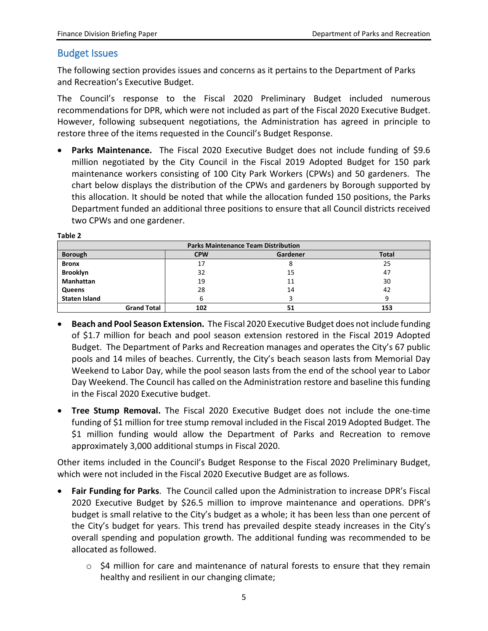#### Budget Issues

The following section provides issues and concerns as it pertains to the Department of Parks and Recreation's Executive Budget.

The Council's response to the Fiscal 2020 Preliminary Budget included numerous recommendations for DPR, which were not included as part of the Fiscal 2020 Executive Budget. However, following subsequent negotiations, the Administration has agreed in principle to restore three of the items requested in the Council's Budget Response.

• **Parks Maintenance.** The Fiscal 2020 Executive Budget does not include funding of \$9.6 million negotiated by the City Council in the Fiscal 2019 Adopted Budget for 150 park maintenance workers consisting of 100 City Park Workers (CPWs) and 50 gardeners. The chart below displays the distribution of the CPWs and gardeners by Borough supported by this allocation. It should be noted that while the allocation funded 150 positions, the Parks Department funded an additional three positions to ensure that all Council districts received two CPWs and one gardener.

**Table 2**

| <b>Parks Maintenance Team Distribution</b> |            |          |              |  |  |  |  |
|--------------------------------------------|------------|----------|--------------|--|--|--|--|
| <b>Borough</b>                             | <b>CPW</b> | Gardener | <b>Total</b> |  |  |  |  |
| <b>Bronx</b>                               | 17         |          | 25           |  |  |  |  |
| <b>Brooklyn</b>                            | 32         | 15       | 47           |  |  |  |  |
| <b>Manhattan</b>                           | 19         | 11       | 30           |  |  |  |  |
| Queens                                     | 28         | 14       | 42           |  |  |  |  |
| <b>Staten Island</b>                       |            |          | q            |  |  |  |  |
| <b>Grand Total</b>                         | 102        | 51       | 153          |  |  |  |  |

- **Beach and Pool Season Extension.** The Fiscal 2020 Executive Budget does not include funding of \$1.7 million for beach and pool season extension restored in the Fiscal 2019 Adopted Budget. The Department of Parks and Recreation manages and operates the City's 67 public pools and 14 miles of beaches. Currently, the City's beach season lasts from Memorial Day Weekend to Labor Day, while the pool season lasts from the end of the school year to Labor Day Weekend. The Council has called on the Administration restore and baseline this funding in the Fiscal 2020 Executive budget.
- **Tree Stump Removal.** The Fiscal 2020 Executive Budget does not include the one-time funding of \$1 million for tree stump removal included in the Fiscal 2019 Adopted Budget. The \$1 million funding would allow the Department of Parks and Recreation to remove approximately 3,000 additional stumps in Fiscal 2020.

Other items included in the Council's Budget Response to the Fiscal 2020 Preliminary Budget, which were not included in the Fiscal 2020 Executive Budget are as follows.

- **Fair Funding for Parks**. The Council called upon the Administration to increase DPR's Fiscal 2020 Executive Budget by \$26.5 million to improve maintenance and operations. DPR's budget is small relative to the City's budget as a whole; it has been less than one percent of the City's budget for years. This trend has prevailed despite steady increases in the City's overall spending and population growth. The additional funding was recommended to be allocated as followed.
	- $\circ$  \$4 million for care and maintenance of natural forests to ensure that they remain healthy and resilient in our changing climate;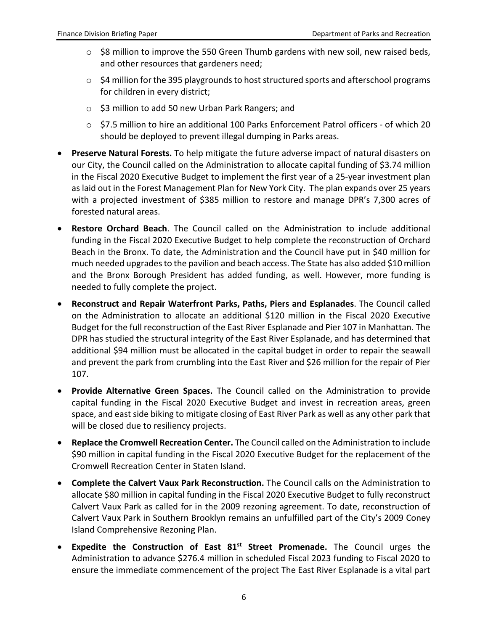- o \$8 million to improve the 550 Green Thumb gardens with new soil, new raised beds, and other resources that gardeners need;
- $\circ$  \$4 million for the 395 playgrounds to host structured sports and afterschool programs for children in every district;
- o \$3 million to add 50 new Urban Park Rangers; and
- o \$7.5 million to hire an additional 100 Parks Enforcement Patrol officers of which 20 should be deployed to prevent illegal dumping in Parks areas.
- **Preserve Natural Forests.** To help mitigate the future adverse impact of natural disasters on our City, the Council called on the Administration to allocate capital funding of \$3.74 million in the Fiscal 2020 Executive Budget to implement the first year of a 25-year investment plan as laid out in the Forest Management Plan for New York City. The plan expands over 25 years with a projected investment of \$385 million to restore and manage DPR's 7,300 acres of forested natural areas.
- **Restore Orchard Beach**. The Council called on the Administration to include additional funding in the Fiscal 2020 Executive Budget to help complete the reconstruction of Orchard Beach in the Bronx. To date, the Administration and the Council have put in \$40 million for much needed upgrades to the pavilion and beach access. The State has also added \$10 million and the Bronx Borough President has added funding, as well. However, more funding is needed to fully complete the project.
- **Reconstruct and Repair Waterfront Parks, Paths, Piers and Esplanades**. The Council called on the Administration to allocate an additional \$120 million in the Fiscal 2020 Executive Budget for the full reconstruction of the East River Esplanade and Pier 107 in Manhattan. The DPR has studied the structural integrity of the East River Esplanade, and has determined that additional \$94 million must be allocated in the capital budget in order to repair the seawall and prevent the park from crumbling into the East River and \$26 million for the repair of Pier 107.
- **Provide Alternative Green Spaces.** The Council called on the Administration to provide capital funding in the Fiscal 2020 Executive Budget and invest in recreation areas, green space, and east side biking to mitigate closing of East River Park as well as any other park that will be closed due to resiliency projects.
- **Replace the Cromwell Recreation Center.** The Council called on the Administration to include \$90 million in capital funding in the Fiscal 2020 Executive Budget for the replacement of the Cromwell Recreation Center in Staten Island.
- **Complete the Calvert Vaux Park Reconstruction.** The Council calls on the Administration to allocate \$80 million in capital funding in the Fiscal 2020 Executive Budget to fully reconstruct Calvert Vaux Park as called for in the 2009 rezoning agreement. To date, reconstruction of Calvert Vaux Park in Southern Brooklyn remains an unfulfilled part of the City's 2009 Coney Island Comprehensive Rezoning Plan.
- **Expedite the Construction of East 81st Street Promenade.** The Council urges the Administration to advance \$276.4 million in scheduled Fiscal 2023 funding to Fiscal 2020 to ensure the immediate commencement of the project The East River Esplanade is a vital part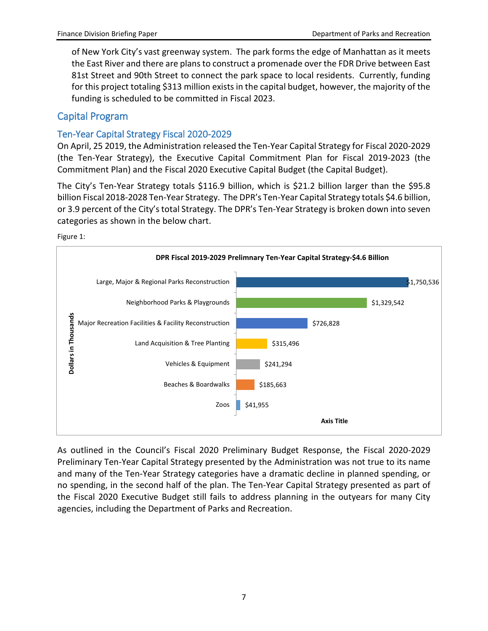of New York City's vast greenway system. The park forms the edge of Manhattan as it meets the East River and there are plans to construct a promenade over the FDR Drive between East 81st Street and 90th Street to connect the park space to local residents. Currently, funding for this project totaling \$313 million exists in the capital budget, however, the majority of the funding is scheduled to be committed in Fiscal 2023.

#### Capital Program

#### Ten-Year Capital Strategy Fiscal 2020-2029

On April, 25 2019, the Administration released the Ten-Year Capital Strategy for Fiscal 2020-2029 (the Ten-Year Strategy), the Executive Capital Commitment Plan for Fiscal 2019-2023 (the Commitment Plan) and the Fiscal 2020 Executive Capital Budget (the Capital Budget).

The City's Ten-Year Strategy totals \$116.9 billion, which is \$21.2 billion larger than the \$95.8 billion Fiscal 2018-2028 Ten-Year Strategy. The DPR's Ten-Year Capital Strategy totals \$4.6 billion, or 3.9 percent of the City's total Strategy. The DPR's Ten-Year Strategy is broken down into seven categories as shown in the below chart.

Figure 1:



As outlined in the Council's Fiscal 2020 Preliminary Budget Response, the Fiscal 2020-2029 Preliminary Ten-Year Capital Strategy presented by the Administration was not true to its name and many of the Ten-Year Strategy categories have a dramatic decline in planned spending, or no spending, in the second half of the plan. The Ten-Year Capital Strategy presented as part of the Fiscal 2020 Executive Budget still fails to address planning in the outyears for many City agencies, including the Department of Parks and Recreation.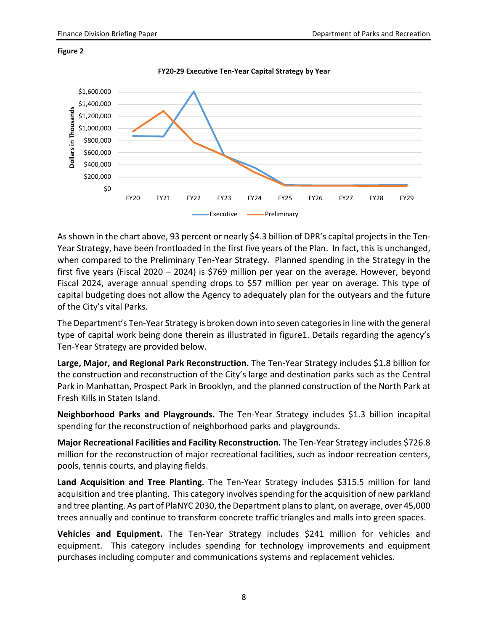

**FY20-29 Executive Ten-Year Capital Strategy by Year**



As shown in the chart above, 93 percent or nearly \$4.3 billion of DPR's capital projects in the Ten-Year Strategy, have been frontloaded in the first five years of the Plan. In fact, this is unchanged, when compared to the Preliminary Ten-Year Strategy. Planned spending in the Strategy in the first five years (Fiscal 2020 – 2024) is \$769 million per year on the average. However, beyond Fiscal 2024, average annual spending drops to \$57 million per year on average. This type of capital budgeting does not allow the Agency to adequately plan for the outyears and the future of the City's vital Parks.

The Department's Ten-Year Strategy is broken down into seven categories in line with the general type of capital work being done therein as illustrated in figure1. Details regarding the agency's Ten-Year Strategy are provided below.

**Large, Major, and Regional Park Reconstruction.** The Ten-Year Strategy includes \$1.8 billion for the construction and reconstruction of the City's large and destination parks such as the Central Park in Manhattan, Prospect Park in Brooklyn, and the planned construction of the North Park at Fresh Kills in Staten Island.

**Neighborhood Parks and Playgrounds.** The Ten-Year Strategy includes \$1.3 billion incapital spending for the reconstruction of neighborhood parks and playgrounds.

**Major Recreational Facilities and Facility Reconstruction.** The Ten-Year Strategy includes \$726.8 million for the reconstruction of major recreational facilities, such as indoor recreation centers, pools, tennis courts, and playing fields.

Land Acquisition and Tree Planting. The Ten-Year Strategy includes \$315.5 million for land acquisition and tree planting. This category involves spending for the acquisition of new parkland and tree planting. As part of PlaNYC 2030, the Department plans to plant, on average, over 45,000 trees annually and continue to transform concrete traffic triangles and malls into green spaces.

**Vehicles and Equipment.** The Ten-Year Strategy includes \$241 million for vehicles and equipment. This category includes spending for technology improvements and equipment purchases including computer and communications systems and replacement vehicles.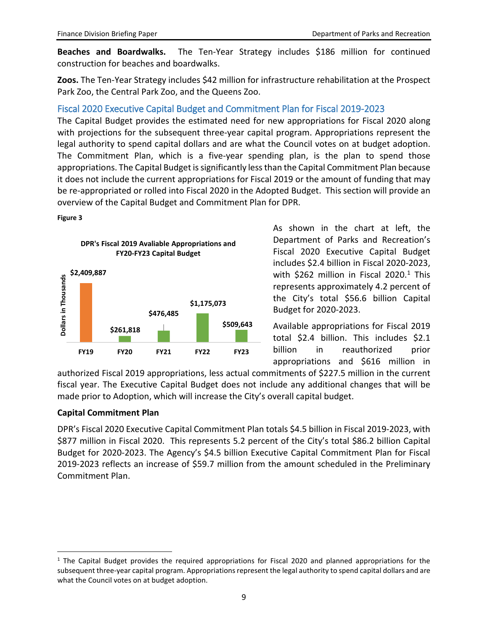**Beaches and Boardwalks.** The Ten-Year Strategy includes \$186 million for continued construction for beaches and boardwalks.

**Zoos.** The Ten-Year Strategy includes \$42 million for infrastructure rehabilitation at the Prospect Park Zoo, the Central Park Zoo, and the Queens Zoo.

#### Fiscal 2020 Executive Capital Budget and Commitment Plan for Fiscal 2019-2023

The Capital Budget provides the estimated need for new appropriations for Fiscal 2020 along with projections for the subsequent three-year capital program. Appropriations represent the legal authority to spend capital dollars and are what the Council votes on at budget adoption. The Commitment Plan, which is a five-year spending plan, is the plan to spend those appropriations. The Capital Budget is significantly less than the Capital Commitment Plan because it does not include the current appropriations for Fiscal 2019 or the amount of funding that may be re-appropriated or rolled into Fiscal 2020 in the Adopted Budget. This section will provide an overview of the Capital Budget and Commitment Plan for DPR.

#### **Figure 3**



As shown in the chart at left, the Department of Parks and Recreation's Fiscal 2020 Executive Capital Budget includes \$2.4 billion in Fiscal 2020-2023, with \$262 million in Fiscal 2020.<sup>[1](#page-9-0)</sup> This represents approximately 4.2 percent of the City's total \$56.6 billion Capital Budget for 2020-2023.

Available appropriations for Fiscal 2019 total \$2.4 billion. This includes \$2.1 billion in reauthorized prior appropriations and \$616 million in

authorized Fiscal 2019 appropriations, less actual commitments of \$227.5 million in the current fiscal year. The Executive Capital Budget does not include any additional changes that will be made prior to Adoption, which will increase the City's overall capital budget.

#### **Capital Commitment Plan**

DPR's Fiscal 2020 Executive Capital Commitment Plan totals \$4.5 billion in Fiscal 2019-2023, with \$877 million in Fiscal 2020. This represents 5.2 percent of the City's total \$86.2 billion Capital Budget for 2020-2023. The Agency's \$4.5 billion Executive Capital Commitment Plan for Fiscal 2019-2023 reflects an increase of \$59.7 million from the amount scheduled in the Preliminary Commitment Plan.

<span id="page-9-0"></span> $1$  The Capital Budget provides the required appropriations for Fiscal 2020 and planned appropriations for the subsequent three-year capital program. Appropriations represent the legal authority to spend capital dollars and are what the Council votes on at budget adoption.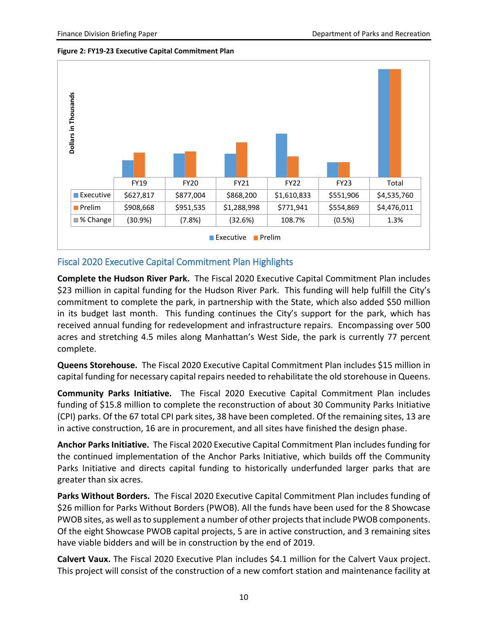**Figure 2: FY19-23 Executive Capital Commitment Plan** 



#### Fiscal 2020 Executive Capital Commitment Plan Highlights

**Complete the Hudson River Park.** The Fiscal 2020 Executive Capital Commitment Plan includes \$23 million in capital funding for the Hudson River Park. This funding will help fulfill the City's commitment to complete the park, in partnership with the State, which also added \$50 million in its budget last month. This funding continues the City's support for the park, which has received annual funding for redevelopment and infrastructure repairs. Encompassing over 500 acres and stretching 4.5 miles along Manhattan's West Side, the park is currently 77 percent complete.

**Queens Storehouse.** The Fiscal 2020 Executive Capital Commitment Plan includes \$15 million in capital funding for necessary capital repairs needed to rehabilitate the old storehouse in Queens.

**Community Parks Initiative.** The Fiscal 2020 Executive Capital Commitment Plan includes funding of \$15.8 million to complete the reconstruction of about 30 Community Parks Initiative (CPI) parks. Of the 67 total CPI park sites, 38 have been completed. Of the remaining sites, 13 are in active construction, 16 are in procurement, and all sites have finished the design phase.

**Anchor Parks Initiative.** The Fiscal 2020 Executive Capital Commitment Plan includes funding for the continued implementation of the Anchor Parks Initiative, which builds off the Community Parks Initiative and directs capital funding to historically underfunded larger parks that are greater than six acres.

**Parks Without Borders.** The Fiscal 2020 Executive Capital Commitment Plan includes funding of \$26 million for Parks Without Borders (PWOB). All the funds have been used for the 8 Showcase PWOB sites, as well as to supplement a number of other projects that include PWOB components. Of the eight Showcase PWOB capital projects, 5 are in active construction, and 3 remaining sites have viable bidders and will be in construction by the end of 2019.

**Calvert Vaux.** The Fiscal 2020 Executive Plan includes \$4.1 million for the Calvert Vaux project. This project will consist of the construction of a new comfort station and maintenance facility at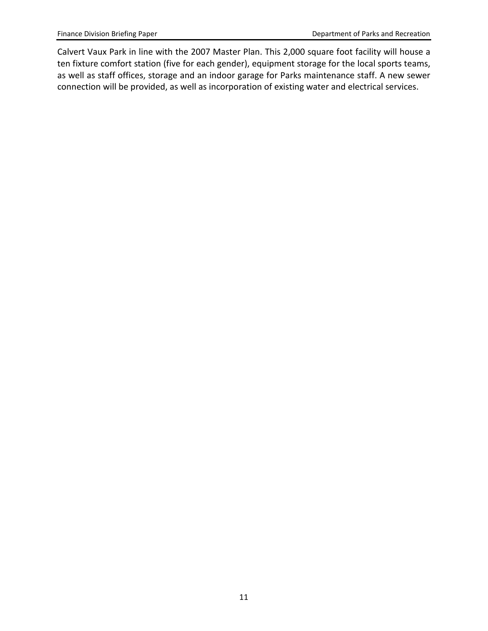Calvert Vaux Park in line with the 2007 Master Plan. This 2,000 square foot facility will house a ten fixture comfort station (five for each gender), equipment storage for the local sports teams, as well as staff offices, storage and an indoor garage for Parks maintenance staff. A new sewer connection will be provided, as well as incorporation of existing water and electrical services.